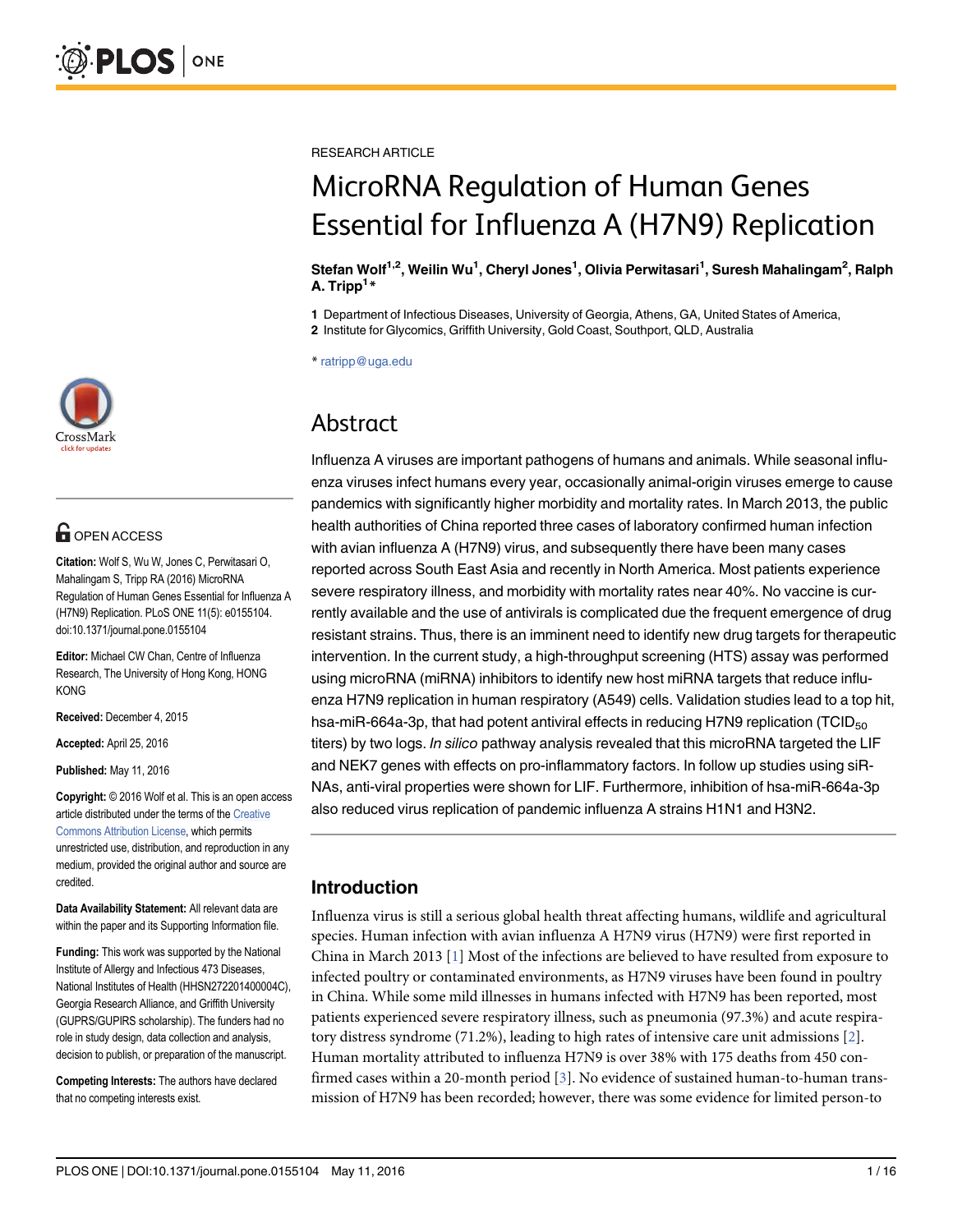

# **OPEN ACCESS**

Citation: Wolf S, Wu W, Jones C, Perwitasari O, Mahalingam S, Tripp RA (2016) MicroRNA Regulation of Human Genes Essential for Influenza A (H7N9) Replication. PLoS ONE 11(5): e0155104. doi:10.1371/journal.pone.0155104

Editor: Michael CW Chan, Centre of Influenza Research, The University of Hong Kong, HONG KONG

Received: December 4, 2015

Accepted: April 25, 2016

Published: May 11, 2016

Copyright: © 2016 Wolf et al. This is an open access article distributed under the terms of the Creative Commons Attribution License, which permits unrestricted use, distribution, and reproduction in any medium, provided the original author and source are credited.

Data Availability Statement: All relevant data are within the paper and its Supporting Information file.

Funding: This work was supported by the National Institute of Allergy and Infectious 473 Diseases, National Institutes of Health (HHSN272201400004C), Georgia Research Alliance, and Griffith University (GUPRS/GUPIRS scholarship). The funders had no role in study design, data collection and analysis, decision to publish, or preparation of the manuscript.

Competing Interests: The authors have declared that no competing interests exist.

RESEARCH ARTICLE

# MicroRNA Regulation of Human Genes Essential for Influenza A (H7N9) Replication

#### Stefan Wolf<sup>1,2</sup>, Weilin Wu<sup>1</sup>, Cheryl Jones<sup>1</sup>, Olivia Perwitasari<sup>1</sup>, Suresh Mahalingam<sup>2</sup>, Ralph A. Tripp<sup>1</sup>\*

1 Department of Infectious Diseases, University of Georgia, Athens, GA, United States of America, 2 Institute for Glycomics, Griffith University, Gold Coast, Southport, QLD, Australia

\* ratripp@uga.edu

## Abstract

Influenza A viruses are important pathogens of humans and animals. While seasonal influenza viruses infect humans every year, occasionally animal-origin viruses emerge to cause pandemics with significantly higher morbidity and mortality rates. In March 2013, the public health authorities of China reported three cases of laboratory confirmed human infection with avian influenza A (H7N9) virus, and subsequently there have been many cases reported across South East Asia and recently in North America. Most patients experience severe respiratory illness, and morbidity with mortality rates near 40%. No vaccine is currently available and the use of antivirals is complicated due the frequent emergence of drug resistant strains. Thus, there is an imminent need to identify new drug targets for therapeutic intervention. In the current study, a high-throughput screening (HTS) assay was performed using microRNA (miRNA) inhibitors to identify new host miRNA targets that reduce influenza H7N9 replication in human respiratory (A549) cells. Validation studies lead to a top hit, hsa-miR-664a-3p, that had potent antiviral effects in reducing H7N9 replication (TCID $_{50}$ titers) by two logs. In silico pathway analysis revealed that this microRNA targeted the LIF and NEK7 genes with effects on pro-inflammatory factors. In follow up studies using siR-NAs, anti-viral properties were shown for LIF. Furthermore, inhibition of hsa-miR-664a-3p also reduced virus replication of pandemic influenza A strains H1N1 and H3N2.

### Introduction

Influenza virus is still a serious global health threat affecting humans, wildlife and agricultural species. Human infection with avian influenza A H7N9 virus (H7N9) were first reported in China in March 2013 [1] Most of the infections are believed to have resulted from exposure to infected poultry or contaminated environments, as H7N9 viruses have been found in poultry in China. While some mild illnesses in humans infected with H7N9 has been reported, most patients experienced severe respiratory illness, such as pneumonia (97.3%) and acute respiratory distress syndrome (71.2%), leading to high rates of intensive care unit admissions [2]. Human mortality attributed to influenza H7N9 is over 38% with 175 deaths from 450 confirmed cases within a 20-month period [3]. No evidence of sustained human-to-human transmission of H7N9 has been recorded; however, there was some evidence for limited person-to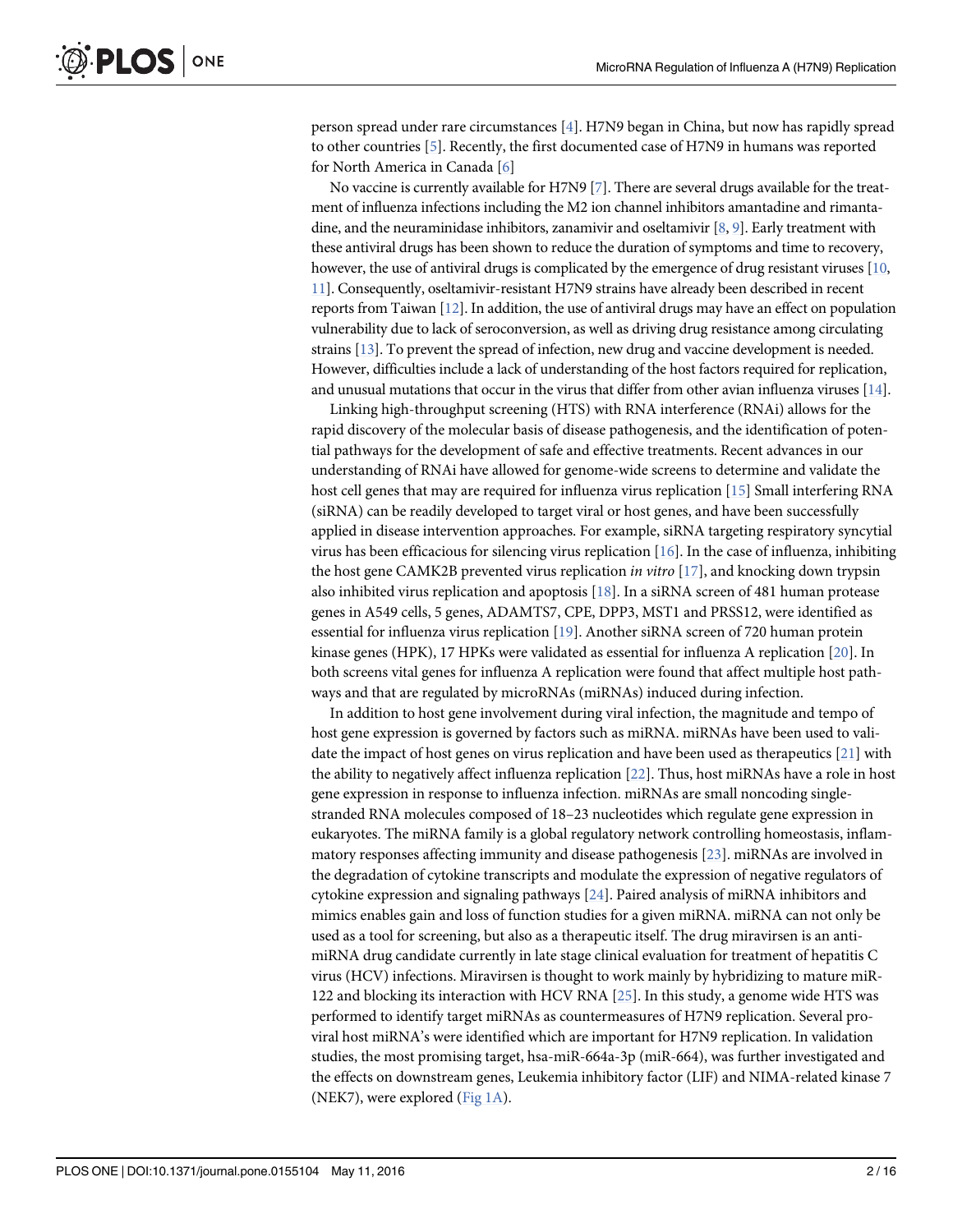person spread under rare circumstances [4]. H7N9 began in China, but now has rapidly spread to other countries [5]. Recently, the first documented case of H7N9 in humans was reported for North America in Canada [6]

No vaccine is currently available for H7N9  $[7]$ . There are several drugs available for the treatment of influenza infections including the M2 ion channel inhibitors amantadine and rimantadine, and the neuraminidase inhibitors, zanamivir and oseltamivir [8, 9]. Early treatment with these antiviral drugs has been shown to reduce the duration of symptoms and time to recovery, however, the use of antiviral drugs is complicated by the emergence of drug resistant viruses [10, 11]. Consequently, oseltamivir-resistant H7N9 strains have already been described in recent reports from Taiwan  $[12]$ . In addition, the use of antiviral drugs may have an effect on population vulnerability due to lack of seroconversion, as well as driving drug resistance among circulating strains [13]. To prevent the spread of infection, new drug and vaccine development is needed. However, difficulties include a lack of understanding of the host factors required for replication, and unusual mutations that occur in the virus that differ from other avian influenza viruses [14].

Linking high-throughput screening (HTS) with RNA interference (RNAi) allows for the rapid discovery of the molecular basis of disease pathogenesis, and the identification of potential pathways for the development of safe and effective treatments. Recent advances in our understanding of RNAi have allowed for genome-wide screens to determine and validate the host cell genes that may are required for influenza virus replication [15] Small interfering RNA (siRNA) can be readily developed to target viral or host genes, and have been successfully applied in disease intervention approaches. For example, siRNA targeting respiratory syncytial virus has been efficacious for silencing virus replication  $[16]$ . In the case of influenza, inhibiting the host gene CAMK2B prevented virus replication in vitro  $[17]$ , and knocking down trypsin also inhibited virus replication and apoptosis  $[18]$ . In a siRNA screen of 481 human protease genes in A549 cells, 5 genes, ADAMTS7, CPE, DPP3, MST1 and PRSS12, were identified as essential for influenza virus replication [19]. Another siRNA screen of 720 human protein kinase genes (HPK), 17 HPKs were validated as essential for influenza A replication [20]. In both screens vital genes for influenza A replication were found that affect multiple host pathways and that are regulated by microRNAs (miRNAs) induced during infection.

In addition to host gene involvement during viral infection, the magnitude and tempo of host gene expression is governed by factors such as miRNA. miRNAs have been used to validate the impact of host genes on virus replication and have been used as therapeutics [21] with the ability to negatively affect influenza replication [22]. Thus, host miRNAs have a role in host gene expression in response to influenza infection. miRNAs are small noncoding singlestranded RNA molecules composed of 18–23 nucleotides which regulate gene expression in eukaryotes. The miRNA family is a global regulatory network controlling homeostasis, inflammatory responses affecting immunity and disease pathogenesis [23]. miRNAs are involved in the degradation of cytokine transcripts and modulate the expression of negative regulators of cytokine expression and signaling pathways  $[24]$ . Paired analysis of miRNA inhibitors and mimics enables gain and loss of function studies for a given miRNA. miRNA can not only be used as a tool for screening, but also as a therapeutic itself. The drug miravirsen is an antimiRNA drug candidate currently in late stage clinical evaluation for treatment of hepatitis C virus (HCV) infections. Miravirsen is thought to work mainly by hybridizing to mature miR-122 and blocking its interaction with HCV RNA [25]. In this study, a genome wide HTS was performed to identify target miRNAs as countermeasures of H7N9 replication. Several proviral host miRNA's were identified which are important for H7N9 replication. In validation studies, the most promising target, hsa-miR-664a-3p (miR-664), was further investigated and the effects on downstream genes, Leukemia inhibitory factor (LIF) and NIMA-related kinase 7 (NEK7), were explored ( $Fig 1A$ ).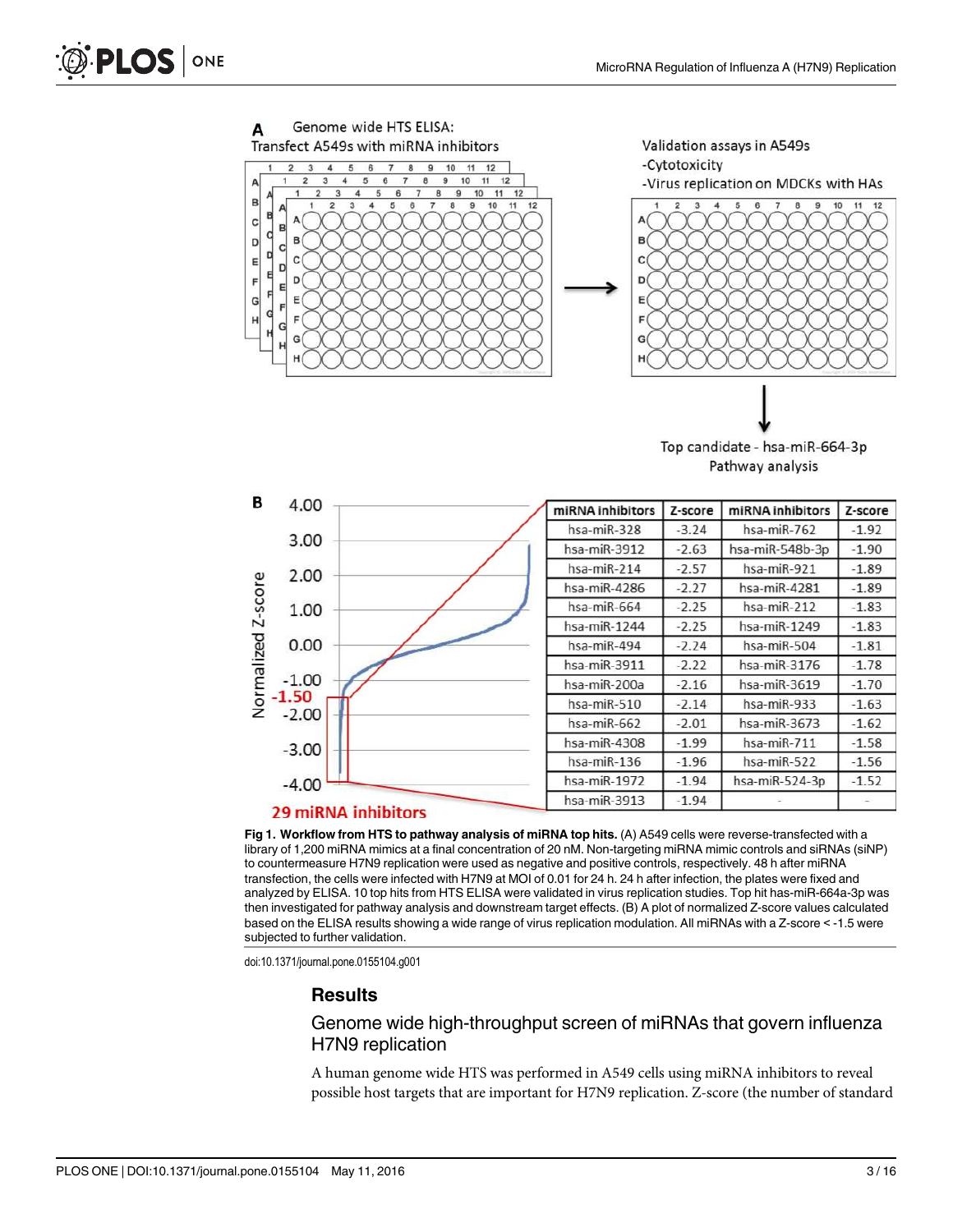

Top candidate - hsa-miR-664-3p Pathway analysis



Fig 1. Workflow from HTS to pathway analysis of miRNA top hits. (A) A549 cells were reverse-transfected with a library of 1,200 miRNA mimics at a final concentration of 20 nM. Non-targeting miRNA mimic controls and siRNAs (siNP) to countermeasure H7N9 replication were used as negative and positive controls, respectively. 48 h after miRNA transfection, the cells were infected with H7N9 at MOI of 0.01 for 24 h. 24 h after infection, the plates were fixed and analyzed by ELISA. 10 top hits from HTS ELISA were validated in virus replication studies. Top hit has-miR-664a-3p was then investigated for pathway analysis and downstream target effects. (B) A plot of normalized Z-score values calculated based on the ELISA results showing a wide range of virus replication modulation. All miRNAs with a Z-score < -1.5 were subjected to further validation.

doi:10.1371/journal.pone.0155104.g001

#### **Results**

#### Genome wide high-throughput screen of miRNAs that govern influenza H7N9 replication

A human genome wide HTS was performed in A549 cells using miRNA inhibitors to reveal possible host targets that are important for H7N9 replication. Z-score (the number of standard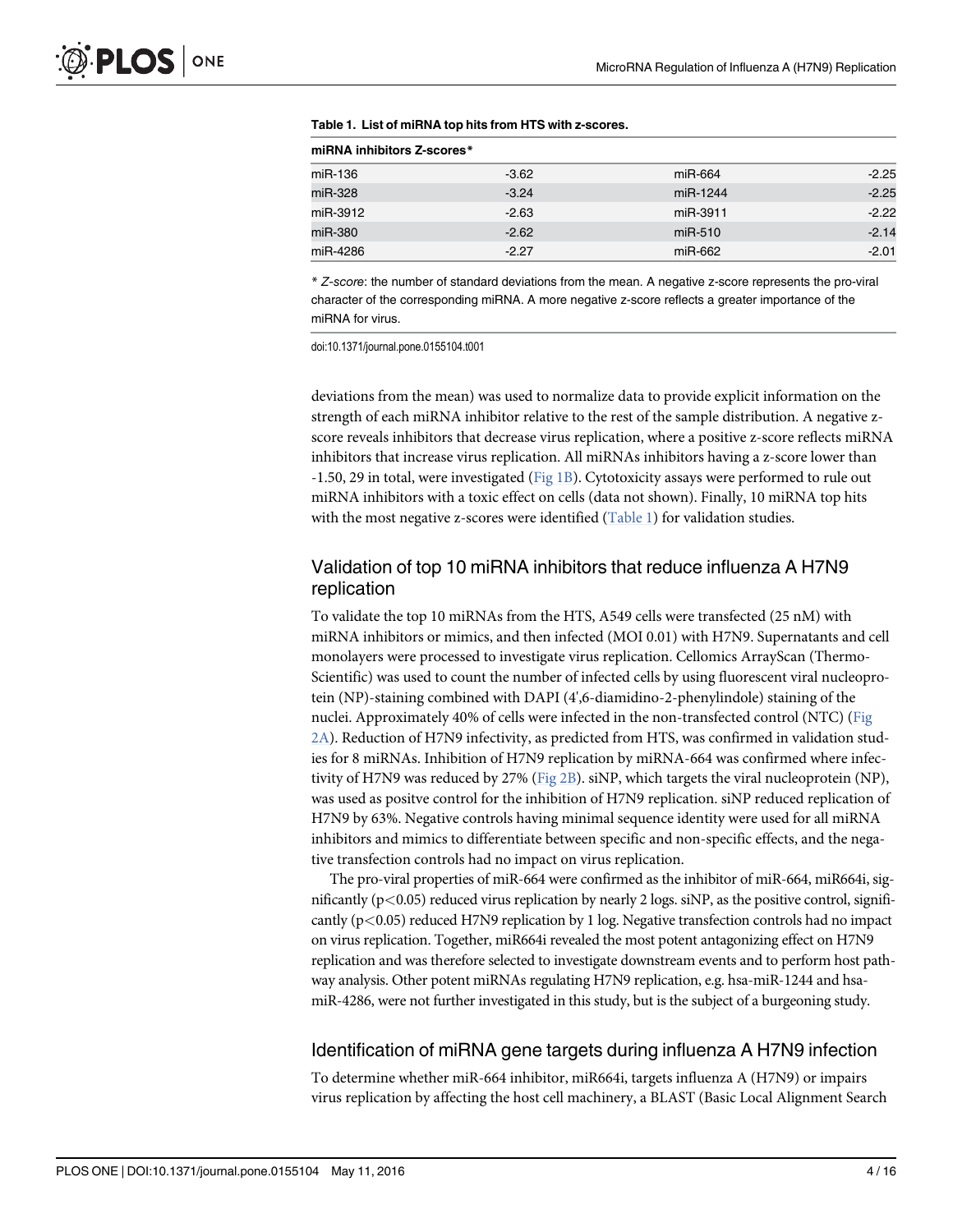| miRNA inhibitors Z-scores* |         |           |         |  |
|----------------------------|---------|-----------|---------|--|
| miR-136                    | $-3.62$ | miR-664   | $-2.25$ |  |
| miR-328                    | $-3.24$ | miR-1244  | $-2.25$ |  |
| miR-3912                   | $-2.63$ | miR-3911  | $-2.22$ |  |
| miR-380                    | $-2.62$ | $miR-510$ | $-2.14$ |  |
| miR-4286                   | $-2.27$ | miR-662   | $-2.01$ |  |

|  | Table 1. List of miRNA top hits from HTS with z-scores. |
|--|---------------------------------------------------------|
|--|---------------------------------------------------------|

\* Z-score: the number of standard deviations from the mean. A negative z-score represents the pro-viral character of the corresponding miRNA. A more negative z-score reflects a greater importance of the miRNA for virus.

doi:10.1371/journal.pone.0155104.t001

deviations from the mean) was used to normalize data to provide explicit information on the strength of each miRNA inhibitor relative to the rest of the sample distribution. A negative zscore reveals inhibitors that decrease virus replication, where a positive z-score reflects miRNA inhibitors that increase virus replication. All miRNAs inhibitors having a z-score lower than -1.50, 29 in total, were investigated ( $Fig 1B$ ). Cytotoxicity assays were performed to rule out miRNA inhibitors with a toxic effect on cells (data not shown). Finally, 10 miRNA top hits with the most negative z-scores were identified  $(Table 1)$  for validation studies.

### Validation of top 10 miRNA inhibitors that reduce influenza A H7N9 replication

To validate the top 10 miRNAs from the HTS, A549 cells were transfected (25 nM) with miRNA inhibitors or mimics, and then infected (MOI 0.01) with H7N9. Supernatants and cell monolayers were processed to investigate virus replication. Cellomics ArrayScan (Thermo-Scientific) was used to count the number of infected cells by using fluorescent viral nucleoprotein (NP)-staining combined with DAPI (4',6-diamidino-2-phenylindole) staining of the nuclei. Approximately 40% of cells were infected in the non-transfected control (NTC) (Fig 2A). Reduction of H7N9 infectivity, as predicted from HTS, was confirmed in validation studies for 8 miRNAs. Inhibition of H7N9 replication by miRNA-664 was confirmed where infectivity of H7N9 was reduced by 27% (Fig 2B). siNP, which targets the viral nucleoprotein (NP), was used as positve control for the inhibition of H7N9 replication. siNP reduced replication of H7N9 by 63%. Negative controls having minimal sequence identity were used for all miRNA inhibitors and mimics to differentiate between specific and non-specific effects, and the negative transfection controls had no impact on virus replication.

The pro-viral properties of miR-664 were confirmed as the inhibitor of miR-664, miR664i, significantly ( $p<0.05$ ) reduced virus replication by nearly 2 logs. siNP, as the positive control, significantly  $(p<0.05)$  reduced H7N9 replication by 1 log. Negative transfection controls had no impact on virus replication. Together, miR664i revealed the most potent antagonizing effect on H7N9 replication and was therefore selected to investigate downstream events and to perform host pathway analysis. Other potent miRNAs regulating H7N9 replication, e.g. hsa-miR-1244 and hsamiR-4286, were not further investigated in this study, but is the subject of a burgeoning study.

#### Identification of miRNA gene targets during influenza A H7N9 infection

To determine whether miR-664 inhibitor, miR664i, targets influenza A (H7N9) or impairs virus replication by affecting the host cell machinery, a BLAST (Basic Local Alignment Search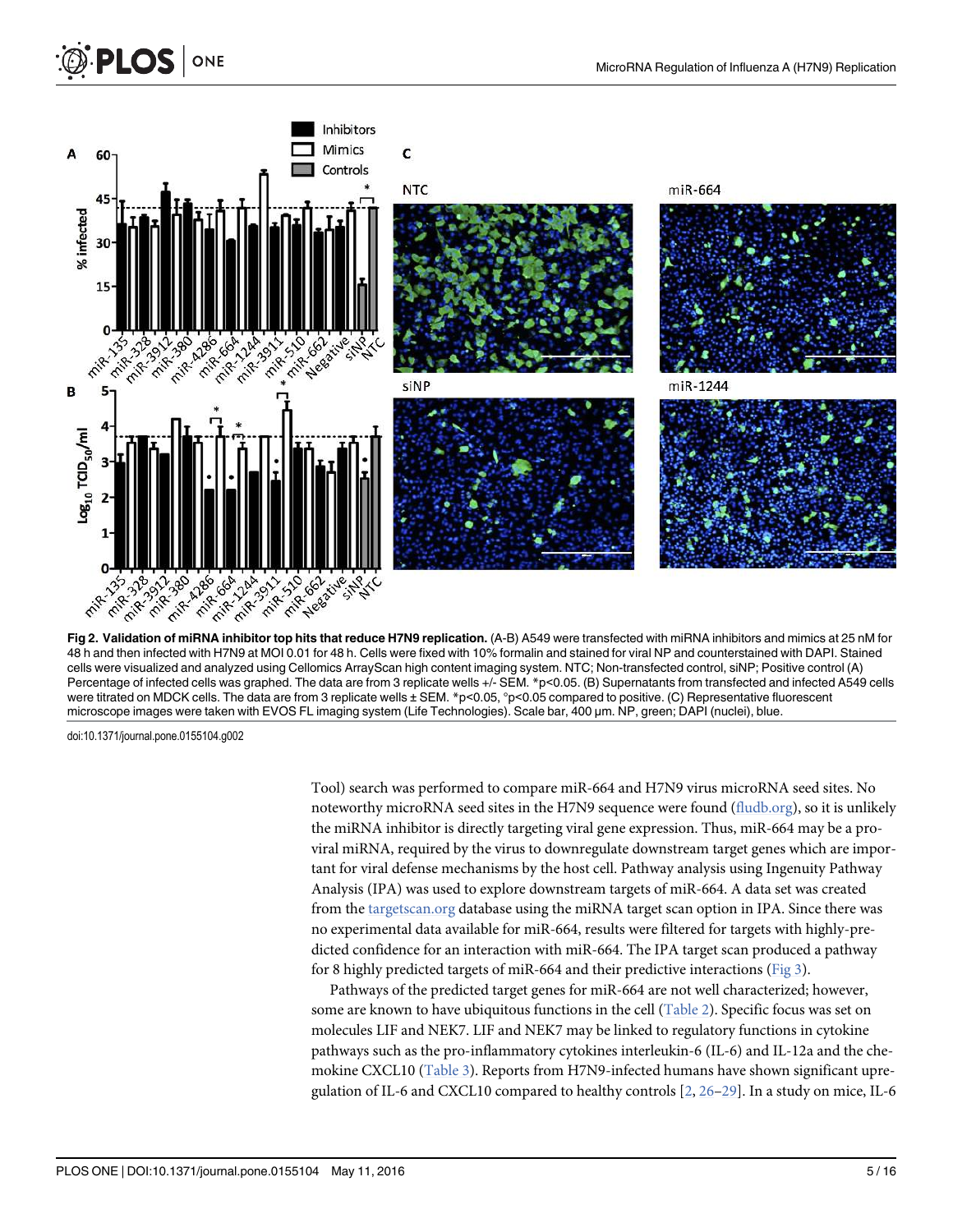

48 h and then infected with H7N9 at MOI 0.01 for 48 h. Cells were fixed with 10% formalin and stained for viral NP and counterstained with DAPI. Stained cells were visualized and analyzed using Cellomics ArrayScan high content imaging system. NTC; Non-transfected control, siNP; Positive control (A) Percentage of infected cells was graphed. The data are from 3 replicate wells +/- SEM. \*p<0.05. (B) Supernatants from transfected and infected A549 cells were titrated on MDCK cells. The data are from 3 replicate wells ± SEM. \*p<0.05, °p<0.05 compared to positive. (C) Representative fluorescent microscope images were taken with EVOS FL imaging system (Life Technologies). Scale bar, 400 μm. NP, green; DAPI (nuclei), blue.

doi:10.1371/journal.pone.0155104.g002

**PLOS** ONE

Tool) search was performed to compare miR-664 and H7N9 virus microRNA seed sites. No noteworthy microRNA seed sites in the H7N9 sequence were found (fludb.org), so it is unlikely the miRNA inhibitor is directly targeting viral gene expression. Thus, miR-664 may be a proviral miRNA, required by the virus to downregulate downstream target genes which are important for viral defense mechanisms by the host cell. Pathway analysis using Ingenuity Pathway Analysis (IPA) was used to explore downstream targets of miR-664. A data set was created from the targetscan.org database using the miRNA target scan option in IPA. Since there was no experimental data available for miR-664, results were filtered for targets with highly-predicted confidence for an interaction with miR-664. The IPA target scan produced a pathway for 8 highly predicted targets of miR-664 and their predictive interactions (Fig 3).

Pathways of the predicted target genes for miR-664 are not well characterized; however, some are known to have ubiquitous functions in the cell (Table 2). Specific focus was set on molecules LIF and NEK7. LIF and NEK7 may be linked to regulatory functions in cytokine pathways such as the pro-inflammatory cytokines interleukin-6 (IL-6) and IL-12a and the chemokine CXCL10 (Table 3). Reports from H7N9-infected humans have shown significant upregulation of IL-6 and CXCL10 compared to healthy controls  $[2, 26-29]$ . In a study on mice, IL-6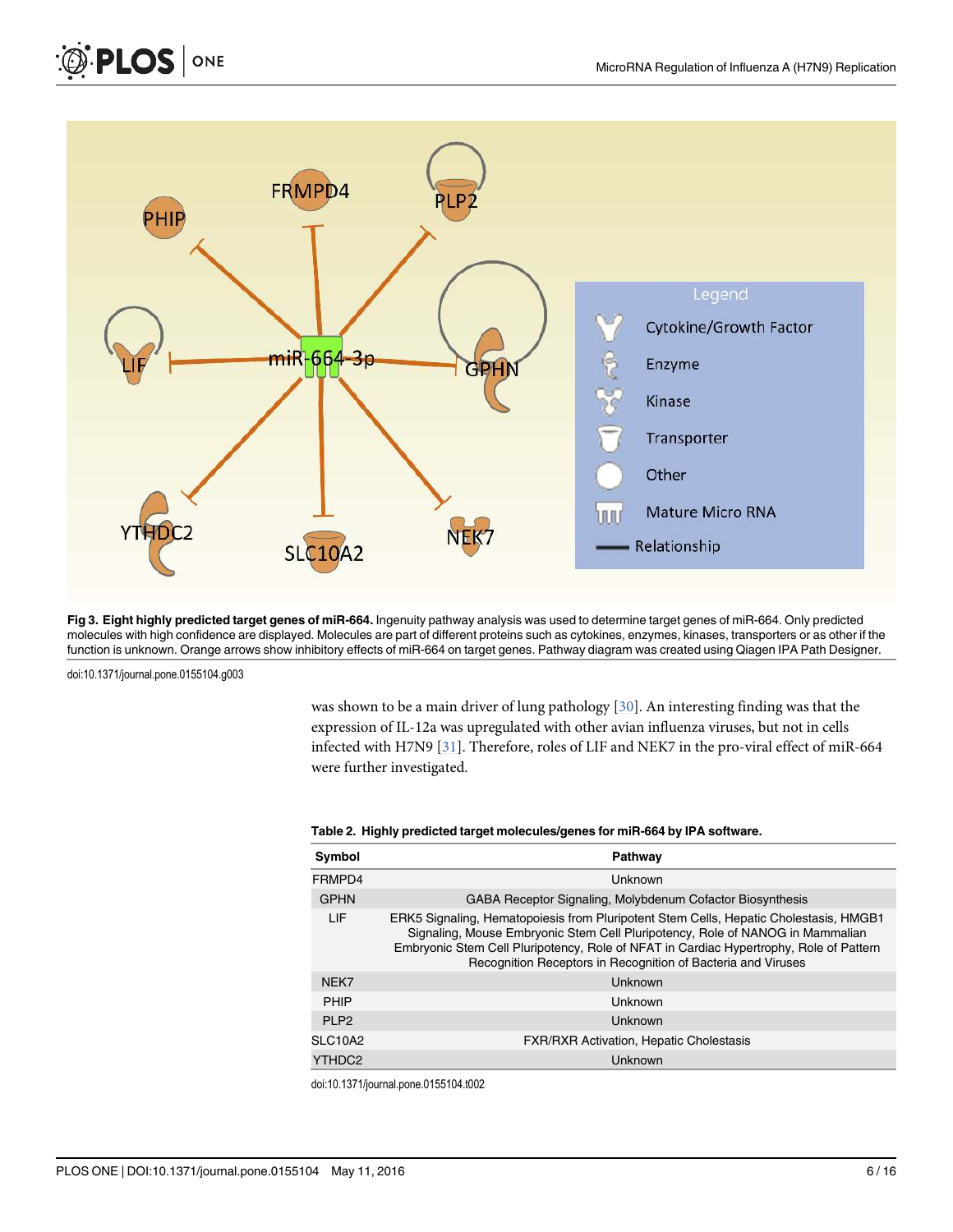

Fig 3. Eight highly predicted target genes of miR-664. Ingenuity pathway analysis was used to determine target genes of miR-664. Only predicted molecules with high confidence are displayed. Molecules are part of different proteins such as cytokines, enzymes, kinases, transporters or as other if the function is unknown. Orange arrows show inhibitory effects of miR-664 on target genes. Pathway diagram was created using Qiagen IPA Path Designer.

doi:10.1371/journal.pone.0155104.g003

PLOS ONE

was shown to be a main driver of lung pathology [30]. An interesting finding was that the expression of IL-12a was upregulated with other avian influenza viruses, but not in cells infected with H7N9 [31]. Therefore, roles of LIF and NEK7 in the pro-viral effect of miR-664 were further investigated.

| Symbol                           | Pathway                                                                                                                                                                                                                                                                                                                          |  |
|----------------------------------|----------------------------------------------------------------------------------------------------------------------------------------------------------------------------------------------------------------------------------------------------------------------------------------------------------------------------------|--|
| FRMPD4                           | Unknown                                                                                                                                                                                                                                                                                                                          |  |
| <b>GPHN</b>                      | <b>GABA Receptor Signaling, Molybdenum Cofactor Biosynthesis</b>                                                                                                                                                                                                                                                                 |  |
| LIF                              | ERK5 Signaling, Hematopoiesis from Pluripotent Stem Cells, Hepatic Cholestasis, HMGB1<br>Signaling, Mouse Embryonic Stem Cell Pluripotency, Role of NANOG in Mammalian<br>Embryonic Stem Cell Pluripotency, Role of NFAT in Cardiac Hypertrophy, Role of Pattern<br>Recognition Receptors in Recognition of Bacteria and Viruses |  |
| NEK7                             | Unknown                                                                                                                                                                                                                                                                                                                          |  |
| PHIP                             | Unknown                                                                                                                                                                                                                                                                                                                          |  |
| <b>PI P2</b>                     | Unknown                                                                                                                                                                                                                                                                                                                          |  |
| SLC <sub>10</sub> A <sub>2</sub> | <b>FXR/RXR Activation, Hepatic Cholestasis</b>                                                                                                                                                                                                                                                                                   |  |
| YTHDC <sub>2</sub>               | <b>Unknown</b>                                                                                                                                                                                                                                                                                                                   |  |

#### Table 2. Highly predicted target molecules/genes for miR-664 by IPA software.

doi:10.1371/journal.pone.0155104.t002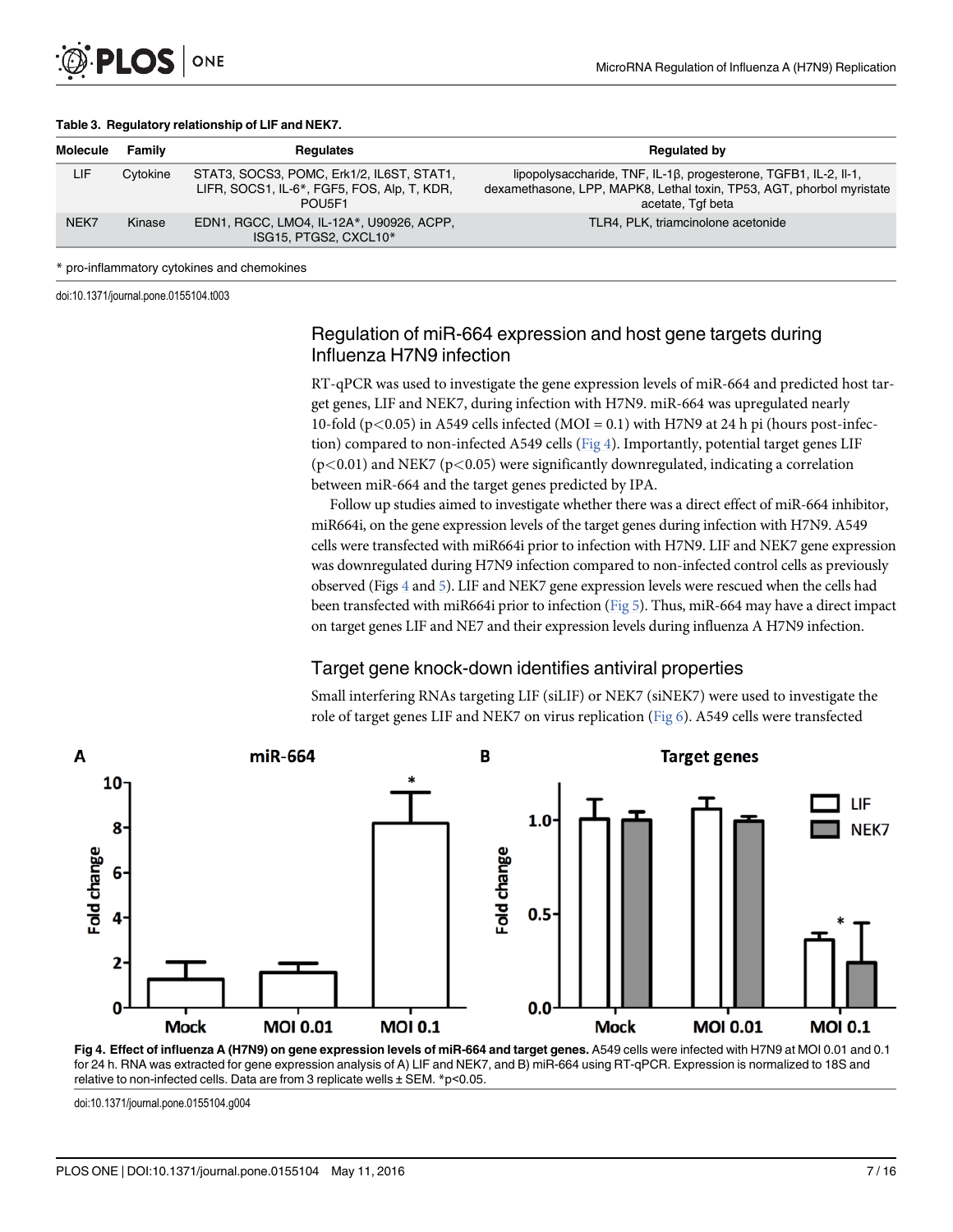

| <b>Molecule</b> | Family   | Regulates                                                                                          | <b>Regulated by</b>                                                                                                                                            |
|-----------------|----------|----------------------------------------------------------------------------------------------------|----------------------------------------------------------------------------------------------------------------------------------------------------------------|
| LIF             | Cytokine | STAT3, SOCS3, POMC, Erk1/2, IL6ST, STAT1,<br>LIFR, SOCS1, IL-6*, FGF5, FOS, Alp, T, KDR,<br>POU5F1 | lipopolysaccharide, TNF, IL-1β, progesterone, TGFB1, IL-2, II-1,<br>dexamethasone, LPP, MAPK8, Lethal toxin, TP53, AGT, phorbol myristate<br>acetate, Tgf beta |
| NEK7            | Kinase   | EDN1, RGCC, LMO4, IL-12A*, U90926, ACPP,<br>ISG15, PTGS2, CXCL10*                                  | TLR4, PLK, triamcinolone acetonide                                                                                                                             |

#### \* pro-inflammatory cytokines and chemokines

doi:10.1371/journal.pone.0155104.t003

#### Regulation of miR-664 expression and host gene targets during Influenza H7N9 infection

RT-qPCR was used to investigate the gene expression levels of miR-664 and predicted host target genes, LIF and NEK7, during infection with H7N9. miR-664 was upregulated nearly 10-fold (p $<$ 0.05) in A549 cells infected (MOI = 0.1) with H7N9 at 24 h pi (hours post-infection) compared to non-infected A549 cells ( $Fig 4$ ). Importantly, potential target genes LIF  $(p<0.01)$  and NEK7 ( $p<0.05$ ) were significantly downregulated, indicating a correlation between miR-664 and the target genes predicted by IPA.

Follow up studies aimed to investigate whether there was a direct effect of miR-664 inhibitor, miR664i, on the gene expression levels of the target genes during infection with H7N9. A549 cells were transfected with miR664i prior to infection with H7N9. LIF and NEK7 gene expression was downregulated during H7N9 infection compared to non-infected control cells as previously observed (Figs  $4$  and  $5$ ). LIF and NEK7 gene expression levels were rescued when the cells had been transfected with miR664i prior to infection (Fig 5). Thus, miR-664 may have a direct impact on target genes LIF and NE7 and their expression levels during influenza A H7N9 infection.

#### Target gene knock-down identifies antiviral properties

Small interfering RNAs targeting LIF (siLIF) or NEK7 (siNEK7) were used to investigate the role of target genes LIF and NEK7 on virus replication (Fig 6). A549 cells were transfected



Fig 4. Effect of influenza A (H7N9) on gene expression levels of miR-664 and target genes. A549 cells were infected with H7N9 at MOI 0.01 and 0.1 for 24 h. RNA was extracted for gene expression analysis of A) LIF and NEK7, and B) miR-664 using RT-qPCR. Expression is normalized to 18S and relative to non-infected cells. Data are from 3 replicate wells ± SEM. \*p<0.05.

doi:10.1371/journal.pone.0155104.g004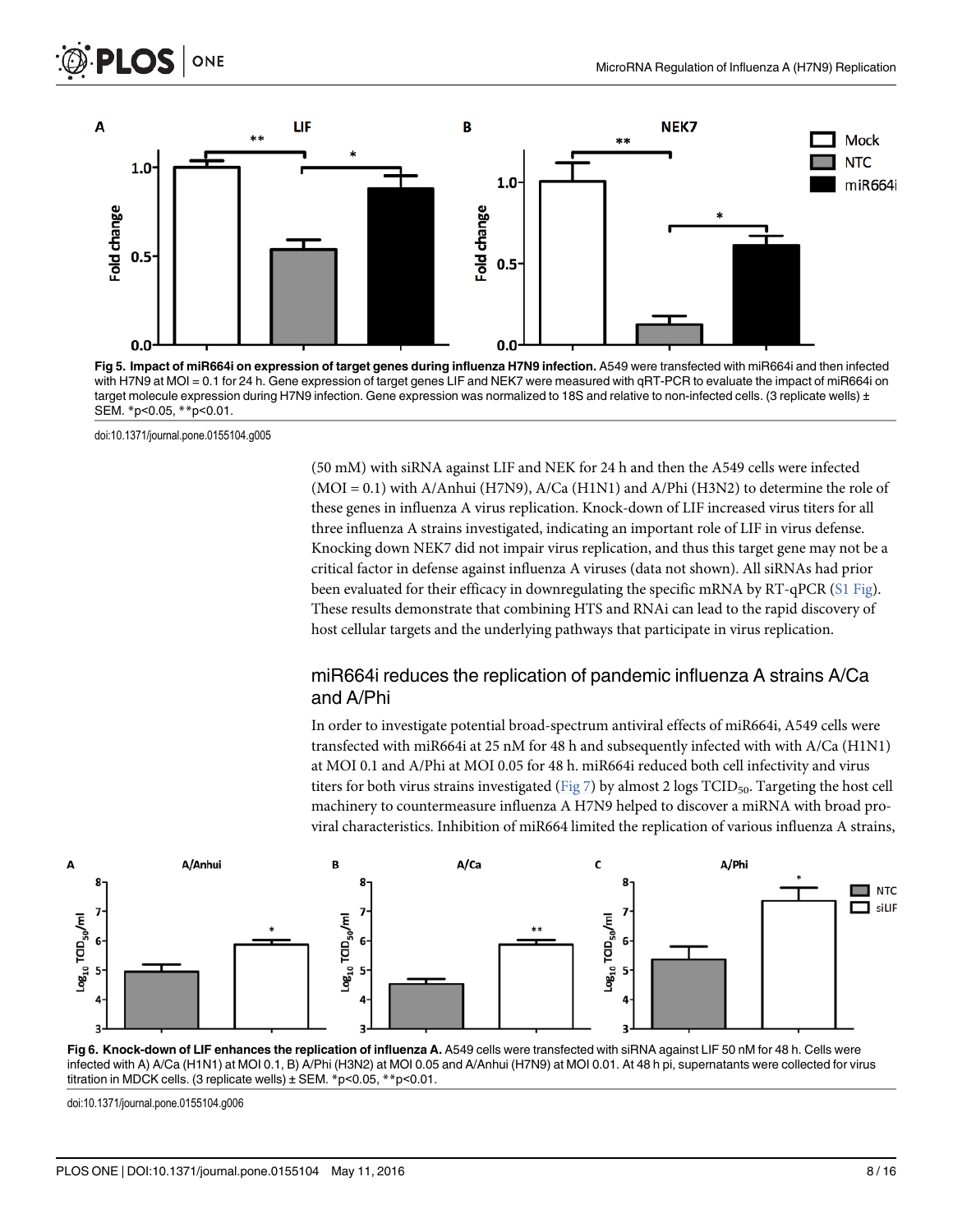

Fig 5. Impact of miR664i on expression of target genes during influenza H7N9 infection. A549 were transfected with miR664i and then infected with H7N9 at MOI = 0.1 for 24 h. Gene expression of target genes LIF and NEK7 were measured with qRT-PCR to evaluate the impact of miR664i on target molecule expression during H7N9 infection. Gene expression was normalized to 18S and relative to non-infected cells. (3 replicate wells) ± SEM. \*p<0.05, \*\*p<0.01.

doi:10.1371/journal.pone.0155104.g005

(50 mM) with siRNA against LIF and NEK for 24 h and then the A549 cells were infected (MOI = 0.1) with A/Anhui (H7N9), A/Ca (H1N1) and A/Phi (H3N2) to determine the role of these genes in influenza A virus replication. Knock-down of LIF increased virus titers for all three influenza A strains investigated, indicating an important role of LIF in virus defense. Knocking down NEK7 did not impair virus replication, and thus this target gene may not be a critical factor in defense against influenza A viruses (data not shown). All siRNAs had prior been evaluated for their efficacy in downregulating the specific mRNA by RT-qPCR (S1 Fig). These results demonstrate that combining HTS and RNAi can lead to the rapid discovery of host cellular targets and the underlying pathways that participate in virus replication.

### miR664i reduces the replication of pandemic influenza A strains A/Ca and A/Phi

In order to investigate potential broad-spectrum antiviral effects of miR664i, A549 cells were transfected with miR664i at 25 nM for 48 h and subsequently infected with with A/Ca (H1N1) at MOI 0.1 and A/Phi at MOI 0.05 for 48 h. miR664i reduced both cell infectivity and virus titers for both virus strains investigated (Fig  $7$ ) by almost 2 logs TCID<sub>50</sub>. Targeting the host cell machinery to countermeasure influenza A H7N9 helped to discover a miRNA with broad proviral characteristics. Inhibition of miR664 limited the replication of various influenza A strains,



Fig 6. Knock-down of LIF enhances the replication of influenza A. A549 cells were transfected with siRNA against LIF 50 nM for 48 h. Cells were infected with A) A/Ca (H1N1) at MOI 0.1, B) A/Phi (H3N2) at MOI 0.05 and A/Anhui (H7N9) at MOI 0.01. At 48 h pi, supernatants were collected for virus titration in MDCK cells. (3 replicate wells) ± SEM. \*p<0.05, \*\*p<0.01.

doi:10.1371/journal.pone.0155104.g006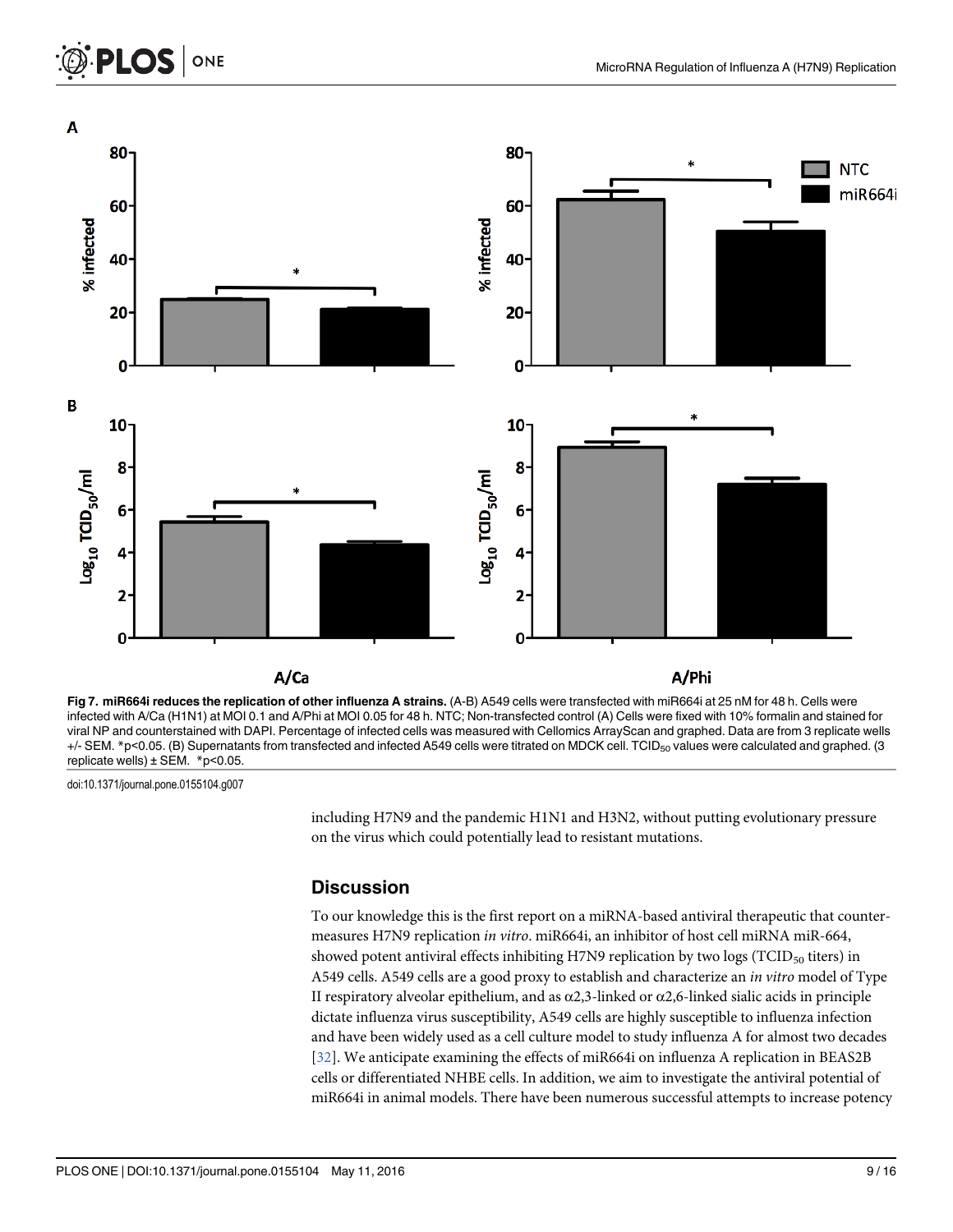### ONE **PLOS I**



Fig 7. miR664i reduces the replication of other influenza A strains. (A-B) A549 cells were transfected with miR664i at 25 nM for 48 h. Cells were infected with A/Ca (H1N1) at MOI 0.1 and A/Phi at MOI 0.05 for 48 h. NTC; Non-transfected control (A) Cells were fixed with 10% formalin and stained for viral NP and counterstained with DAPI. Percentage of infected cells was measured with Cellomics ArrayScan and graphed. Data are from 3 replicate wells +/- SEM. \*p<0.05. (B) Supernatants from transfected and infected A549 cells were titrated on MDCK cell. TCID<sub>50</sub> values were calculated and graphed. (3 replicate wells)  $\pm$  SEM. \*p<0.05.

doi:10.1371/journal.pone.0155104.g007

including H7N9 and the pandemic H1N1 and H3N2, without putting evolutionary pressure on the virus which could potentially lead to resistant mutations.

### **Discussion**

To our knowledge this is the first report on a miRNA-based antiviral therapeutic that countermeasures H7N9 replication in vitro. miR664i, an inhibitor of host cell miRNA miR-664, showed potent antiviral effects inhibiting H7N9 replication by two logs ( $TCID<sub>50</sub>$  titers) in A549 cells. A549 cells are a good proxy to establish and characterize an in vitro model of Type II respiratory alveolar epithelium, and as  $\alpha$ 2,3-linked or  $\alpha$ 2,6-linked sialic acids in principle dictate influenza virus susceptibility, A549 cells are highly susceptible to influenza infection and have been widely used as a cell culture model to study influenza A for almost two decades [32]. We anticipate examining the effects of miR664i on influenza A replication in BEAS2B cells or differentiated NHBE cells. In addition, we aim to investigate the antiviral potential of miR664i in animal models. There have been numerous successful attempts to increase potency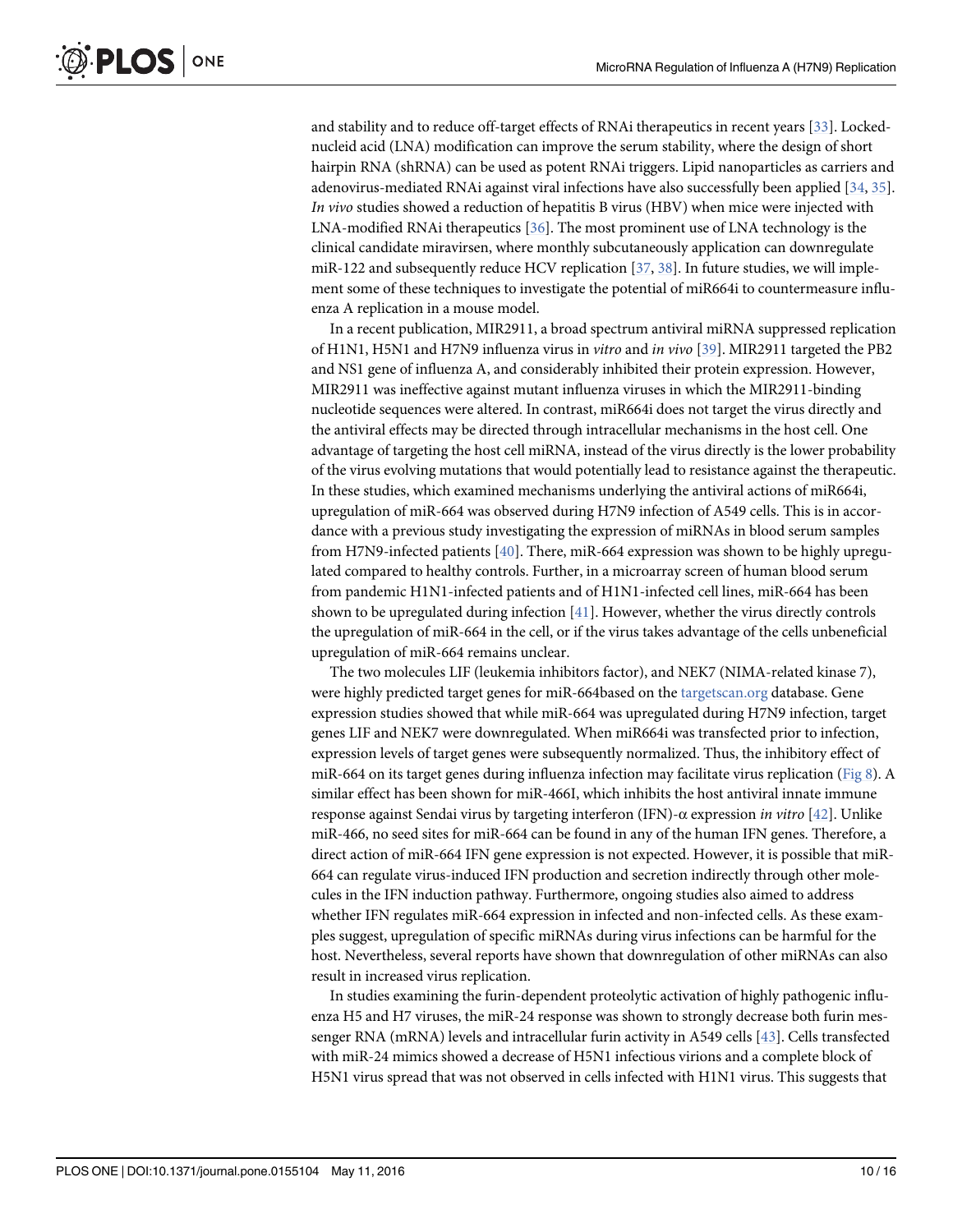and stability and to reduce off-target effects of RNAi therapeutics in recent years [33]. Lockednucleid acid (LNA) modification can improve the serum stability, where the design of short hairpin RNA (shRNA) can be used as potent RNAi triggers. Lipid nanoparticles as carriers and adenovirus-mediated RNAi against viral infections have also successfully been applied [34, 35]. In vivo studies showed a reduction of hepatitis B virus (HBV) when mice were injected with LNA-modified RNAi therapeutics [36]. The most prominent use of LNA technology is the clinical candidate miravirsen, where monthly subcutaneously application can downregulate miR-122 and subsequently reduce HCV replication [37, 38]. In future studies, we will implement some of these techniques to investigate the potential of miR664i to countermeasure influenza A replication in a mouse model.

In a recent publication, MIR2911, a broad spectrum antiviral miRNA suppressed replication of H1N1, H5N1 and H7N9 influenza virus in vitro and in vivo [39]. MIR2911 targeted the PB2 and NS1 gene of influenza A, and considerably inhibited their protein expression. However, MIR2911 was ineffective against mutant influenza viruses in which the MIR2911-binding nucleotide sequences were altered. In contrast, miR664i does not target the virus directly and the antiviral effects may be directed through intracellular mechanisms in the host cell. One advantage of targeting the host cell miRNA, instead of the virus directly is the lower probability of the virus evolving mutations that would potentially lead to resistance against the therapeutic. In these studies, which examined mechanisms underlying the antiviral actions of miR664i, upregulation of miR-664 was observed during H7N9 infection of A549 cells. This is in accordance with a previous study investigating the expression of miRNAs in blood serum samples from H7N9-infected patients [40]. There, miR-664 expression was shown to be highly upregulated compared to healthy controls. Further, in a microarray screen of human blood serum from pandemic H1N1-infected patients and of H1N1-infected cell lines, miR-664 has been shown to be upregulated during infection [41]. However, whether the virus directly controls the upregulation of miR-664 in the cell, or if the virus takes advantage of the cells unbeneficial upregulation of miR-664 remains unclear.

The two molecules LIF (leukemia inhibitors factor), and NEK7 (NIMA-related kinase 7), were highly predicted target genes for miR-664based on the targetscan.org database. Gene expression studies showed that while miR-664 was upregulated during H7N9 infection, target genes LIF and NEK7 were downregulated. When miR664i was transfected prior to infection, expression levels of target genes were subsequently normalized. Thus, the inhibitory effect of miR-664 on its target genes during influenza infection may facilitate virus replication (Fig 8). A similar effect has been shown for miR-466I, which inhibits the host antiviral innate immune response against Sendai virus by targeting interferon (IFN)-α expression in vitro [42]. Unlike miR-466, no seed sites for miR-664 can be found in any of the human IFN genes. Therefore, a direct action of miR-664 IFN gene expression is not expected. However, it is possible that miR-664 can regulate virus-induced IFN production and secretion indirectly through other molecules in the IFN induction pathway. Furthermore, ongoing studies also aimed to address whether IFN regulates miR-664 expression in infected and non-infected cells. As these examples suggest, upregulation of specific miRNAs during virus infections can be harmful for the host. Nevertheless, several reports have shown that downregulation of other miRNAs can also result in increased virus replication.

In studies examining the furin-dependent proteolytic activation of highly pathogenic influenza H5 and H7 viruses, the miR-24 response was shown to strongly decrease both furin messenger RNA (mRNA) levels and intracellular furin activity in A549 cells [43]. Cells transfected with miR-24 mimics showed a decrease of H5N1 infectious virions and a complete block of H5N1 virus spread that was not observed in cells infected with H1N1 virus. This suggests that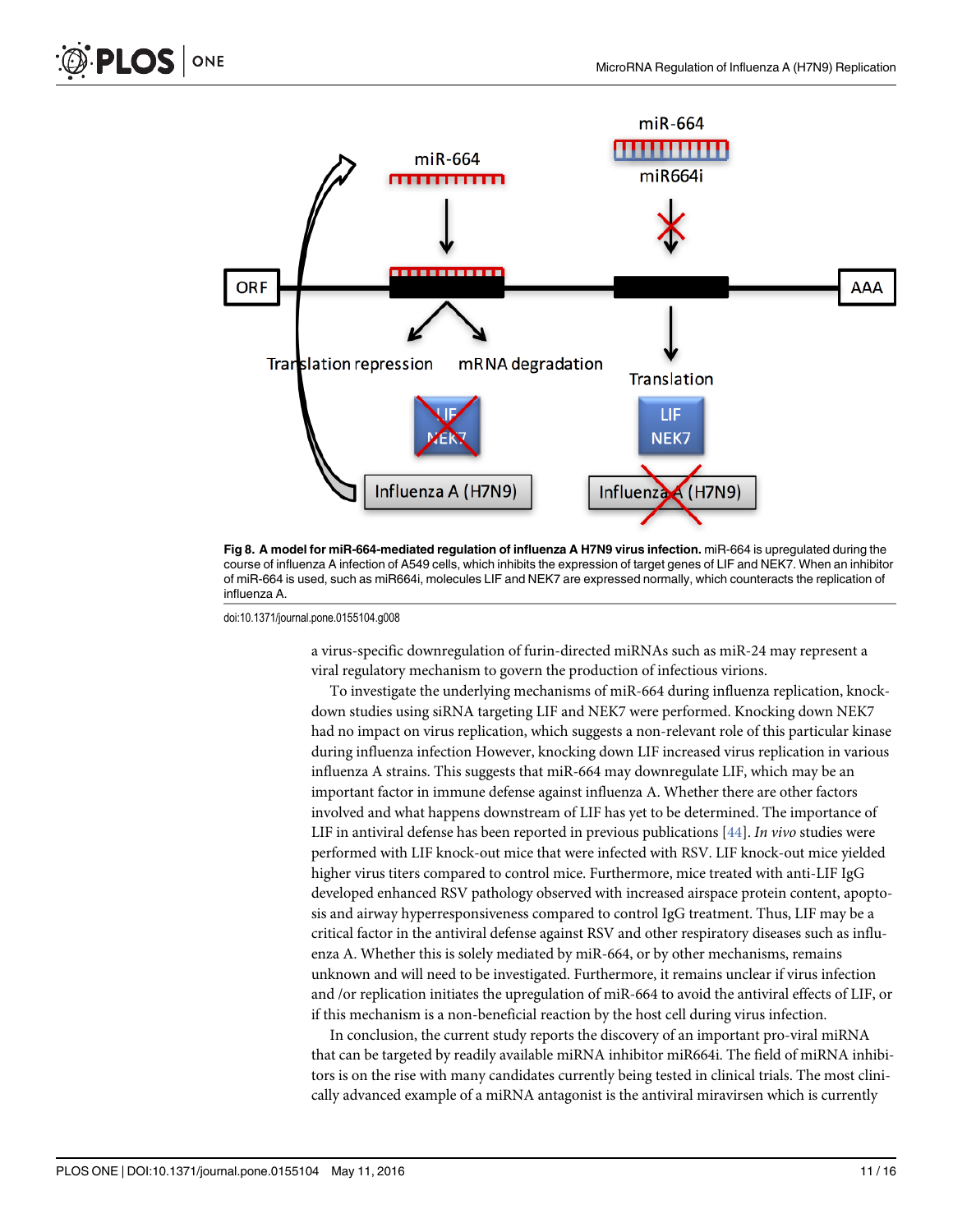



Fig 8. A model for miR-664-mediated regulation of influenza A H7N9 virus infection. miR-664 is upregulated during the course of influenza A infection of A549 cells, which inhibits the expression of target genes of LIF and NEK7. When an inhibitor of miR-664 is used, such as miR664i, molecules LIF and NEK7 are expressed normally, which counteracts the replication of influenza A.

doi:10.1371/journal.pone.0155104.g008

a virus-specific downregulation of furin-directed miRNAs such as miR-24 may represent a viral regulatory mechanism to govern the production of infectious virions.

To investigate the underlying mechanisms of miR-664 during influenza replication, knockdown studies using siRNA targeting LIF and NEK7 were performed. Knocking down NEK7 had no impact on virus replication, which suggests a non-relevant role of this particular kinase during influenza infection However, knocking down LIF increased virus replication in various influenza A strains. This suggests that miR-664 may downregulate LIF, which may be an important factor in immune defense against influenza A. Whether there are other factors involved and what happens downstream of LIF has yet to be determined. The importance of LIF in antiviral defense has been reported in previous publications  $[44]$ . In vivo studies were performed with LIF knock-out mice that were infected with RSV. LIF knock-out mice yielded higher virus titers compared to control mice. Furthermore, mice treated with anti-LIF IgG developed enhanced RSV pathology observed with increased airspace protein content, apoptosis and airway hyperresponsiveness compared to control IgG treatment. Thus, LIF may be a critical factor in the antiviral defense against RSV and other respiratory diseases such as influenza A. Whether this is solely mediated by miR-664, or by other mechanisms, remains unknown and will need to be investigated. Furthermore, it remains unclear if virus infection and /or replication initiates the upregulation of miR-664 to avoid the antiviral effects of LIF, or if this mechanism is a non-beneficial reaction by the host cell during virus infection.

In conclusion, the current study reports the discovery of an important pro-viral miRNA that can be targeted by readily available miRNA inhibitor miR664i. The field of miRNA inhibitors is on the rise with many candidates currently being tested in clinical trials. The most clinically advanced example of a miRNA antagonist is the antiviral miravirsen which is currently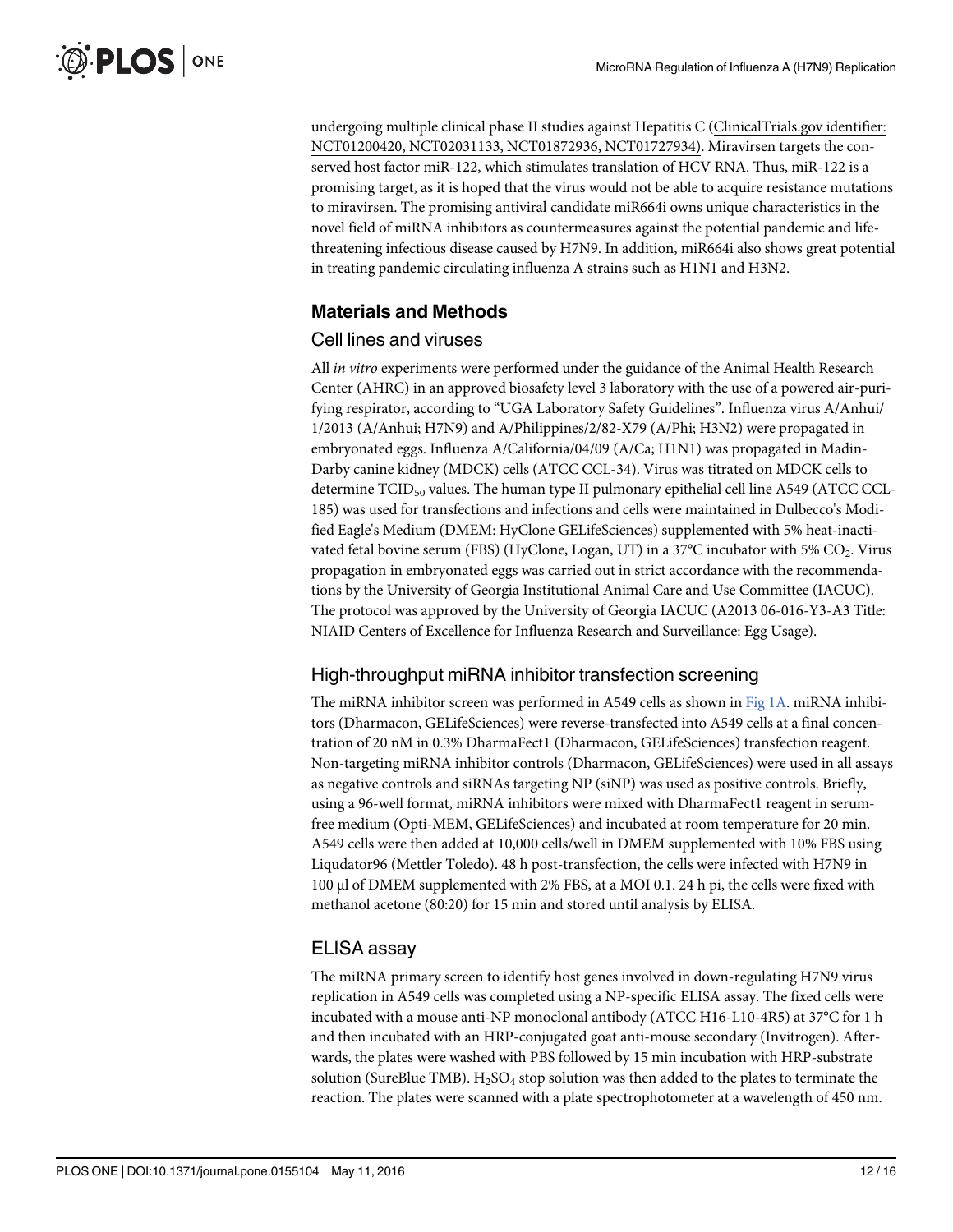undergoing multiple clinical phase II studies against Hepatitis C (ClinicalTrials.gov identifier: NCT01200420, NCT02031133, NCT01872936, NCT01727934). Miravirsen targets the conserved host factor miR-122, which stimulates translation of HCV RNA. Thus, miR-122 is a promising target, as it is hoped that the virus would not be able to acquire resistance mutations to miravirsen. The promising antiviral candidate miR664i owns unique characteristics in the novel field of miRNA inhibitors as countermeasures against the potential pandemic and lifethreatening infectious disease caused by H7N9. In addition, miR664i also shows great potential in treating pandemic circulating influenza A strains such as H1N1 and H3N2.

### Materials and Methods

### Cell lines and viruses

All in vitro experiments were performed under the guidance of the Animal Health Research Center (AHRC) in an approved biosafety level 3 laboratory with the use of a powered air-purifying respirator, according to "UGA Laboratory Safety Guidelines". Influenza virus A/Anhui/ 1/2013 (A/Anhui; H7N9) and A/Philippines/2/82-X79 (A/Phi; H3N2) were propagated in embryonated eggs. Influenza A/California/04/09 (A/Ca; H1N1) was propagated in Madin-Darby canine kidney (MDCK) cells (ATCC CCL-34). Virus was titrated on MDCK cells to determine  $TCID_{50}$  values. The human type II pulmonary epithelial cell line A549 (ATCC CCL-185) was used for transfections and infections and cells were maintained in Dulbecco's Modified Eagle's Medium (DMEM: HyClone GELifeSciences) supplemented with 5% heat-inactivated fetal bovine serum (FBS) (HyClone, Logan, UT) in a 37°C incubator with 5% CO<sub>2</sub>. Virus propagation in embryonated eggs was carried out in strict accordance with the recommendations by the University of Georgia Institutional Animal Care and Use Committee (IACUC). The protocol was approved by the University of Georgia IACUC (A2013 06-016-Y3-A3 Title: NIAID Centers of Excellence for Influenza Research and Surveillance: Egg Usage).

### High-throughput miRNA inhibitor transfection screening

The miRNA inhibitor screen was performed in A549 cells as shown in Fig 1A. miRNA inhibitors (Dharmacon, GELifeSciences) were reverse-transfected into A549 cells at a final concentration of 20 nM in 0.3% DharmaFect1 (Dharmacon, GELifeSciences) transfection reagent. Non-targeting miRNA inhibitor controls (Dharmacon, GELifeSciences) were used in all assays as negative controls and siRNAs targeting NP (siNP) was used as positive controls. Briefly, using a 96-well format, miRNA inhibitors were mixed with DharmaFect1 reagent in serumfree medium (Opti-MEM, GELifeSciences) and incubated at room temperature for 20 min. A549 cells were then added at 10,000 cells/well in DMEM supplemented with 10% FBS using Liqudator96 (Mettler Toledo). 48 h post-transfection, the cells were infected with H7N9 in 100 μl of DMEM supplemented with 2% FBS, at a MOI 0.1. 24 h pi, the cells were fixed with methanol acetone (80:20) for 15 min and stored until analysis by ELISA.

### ELISA assay

The miRNA primary screen to identify host genes involved in down-regulating H7N9 virus replication in A549 cells was completed using a NP-specific ELISA assay. The fixed cells were incubated with a mouse anti-NP monoclonal antibody (ATCC H16-L10-4R5) at 37°C for 1 h and then incubated with an HRP-conjugated goat anti-mouse secondary (Invitrogen). Afterwards, the plates were washed with PBS followed by 15 min incubation with HRP-substrate solution (SureBlue TMB).  $H_2SO_4$  stop solution was then added to the plates to terminate the reaction. The plates were scanned with a plate spectrophotometer at a wavelength of 450 nm.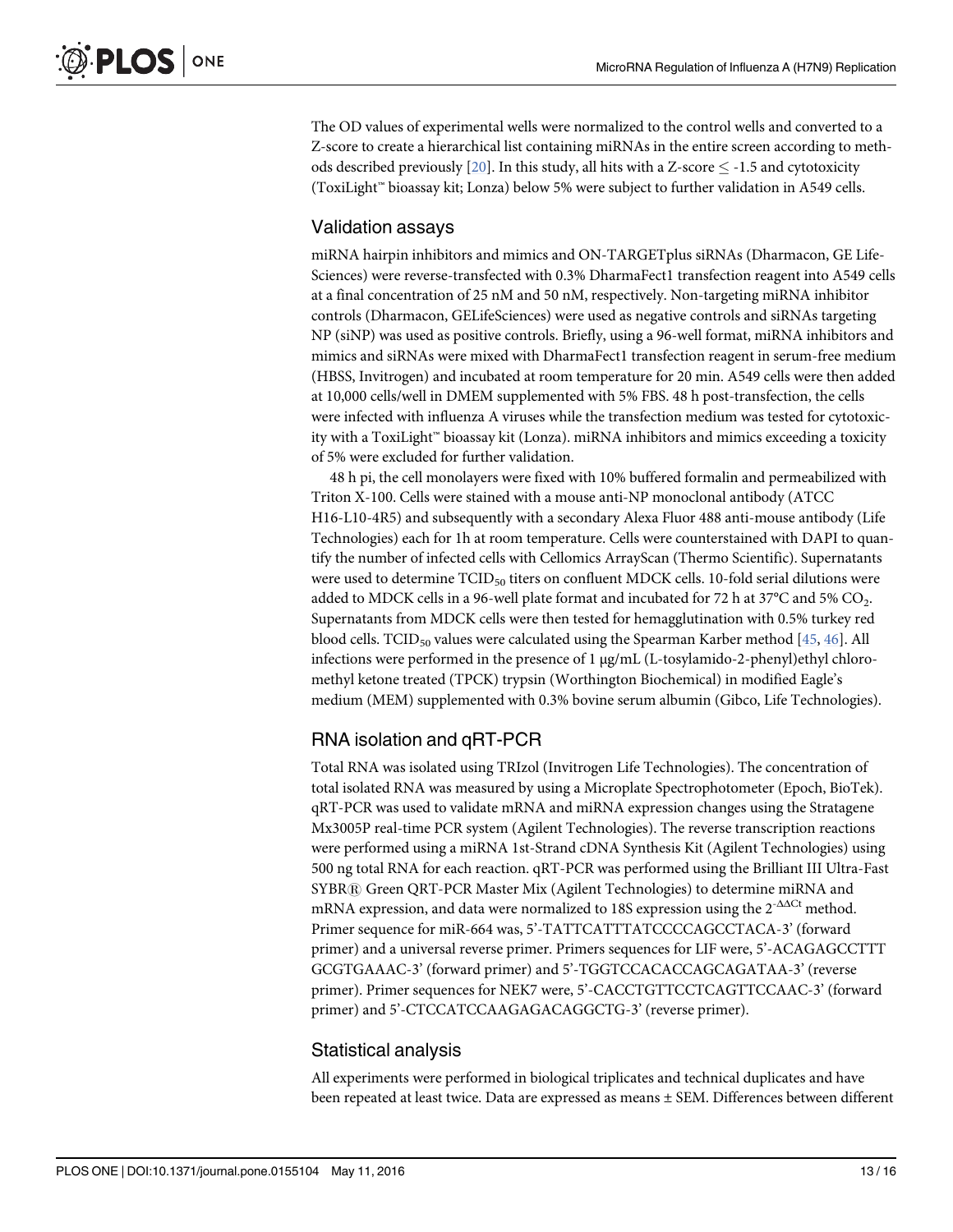The OD values of experimental wells were normalized to the control wells and converted to a Z-score to create a hierarchical list containing miRNAs in the entire screen according to methods described previously  $[20]$ . In this study, all hits with a Z-score  $\leq$  -1.5 and cytotoxicity (ToxiLight™ bioassay kit; Lonza) below 5% were subject to further validation in A549 cells.

### Validation assays

miRNA hairpin inhibitors and mimics and ON-TARGETplus siRNAs (Dharmacon, GE Life-Sciences) were reverse-transfected with 0.3% DharmaFect1 transfection reagent into A549 cells at a final concentration of 25 nM and 50 nM, respectively. Non-targeting miRNA inhibitor controls (Dharmacon, GELifeSciences) were used as negative controls and siRNAs targeting NP (siNP) was used as positive controls. Briefly, using a 96-well format, miRNA inhibitors and mimics and siRNAs were mixed with DharmaFect1 transfection reagent in serum-free medium (HBSS, Invitrogen) and incubated at room temperature for 20 min. A549 cells were then added at 10,000 cells/well in DMEM supplemented with 5% FBS. 48 h post-transfection, the cells were infected with influenza A viruses while the transfection medium was tested for cytotoxicity with a ToxiLight™ bioassay kit (Lonza). miRNA inhibitors and mimics exceeding a toxicity of 5% were excluded for further validation.

48 h pi, the cell monolayers were fixed with 10% buffered formalin and permeabilized with Triton X-100. Cells were stained with a mouse anti-NP monoclonal antibody (ATCC H16-L10-4R5) and subsequently with a secondary Alexa Fluor 488 anti-mouse antibody (Life Technologies) each for 1h at room temperature. Cells were counterstained with DAPI to quantify the number of infected cells with Cellomics ArrayScan (Thermo Scientific). Supernatants were used to determine  $TCID_{50}$  titers on confluent MDCK cells. 10-fold serial dilutions were added to MDCK cells in a 96-well plate format and incubated for 72 h at 37°C and 5% CO<sub>2</sub>. Supernatants from MDCK cells were then tested for hemagglutination with 0.5% turkey red blood cells. TCID<sub>50</sub> values were calculated using the Spearman Karber method  $[45, 46]$ . All infections were performed in the presence of 1 μg/mL (L-tosylamido-2-phenyl)ethyl chloromethyl ketone treated (TPCK) trypsin (Worthington Biochemical) in modified Eagle's medium (MEM) supplemented with 0.3% bovine serum albumin (Gibco, Life Technologies).

### RNA isolation and qRT-PCR

Total RNA was isolated using TRIzol (Invitrogen Life Technologies). The concentration of total isolated RNA was measured by using a Microplate Spectrophotometer (Epoch, BioTek). qRT-PCR was used to validate mRNA and miRNA expression changes using the Stratagene Mx3005P real-time PCR system (Agilent Technologies). The reverse transcription reactions were performed using a miRNA 1st-Strand cDNA Synthesis Kit (Agilent Technologies) using 500 ng total RNA for each reaction. qRT-PCR was performed using the Brilliant III Ultra-Fast SYBR® Green QRT-PCR Master Mix (Agilent Technologies) to determine miRNA and mRNA expression, and data were normalized to 18S expression using the 2<sup>-ΔΔCt</sup> method. Primer sequence for miR-664 was, 5'-TATTCATTTATCCCCAGCCTACA-3' (forward primer) and a universal reverse primer. Primers sequences for LIF were, 5'-ACAGAGCCTTT GCGTGAAAC-3' (forward primer) and 5'-TGGTCCACACCAGCAGATAA-3' (reverse primer). Primer sequences for NEK7 were, 5'-CACCTGTTCCTCAGTTCCAAC-3' (forward primer) and 5'-CTCCATCCAAGAGACAGGCTG-3' (reverse primer).

### Statistical analysis

All experiments were performed in biological triplicates and technical duplicates and have been repeated at least twice. Data are expressed as means ± SEM. Differences between different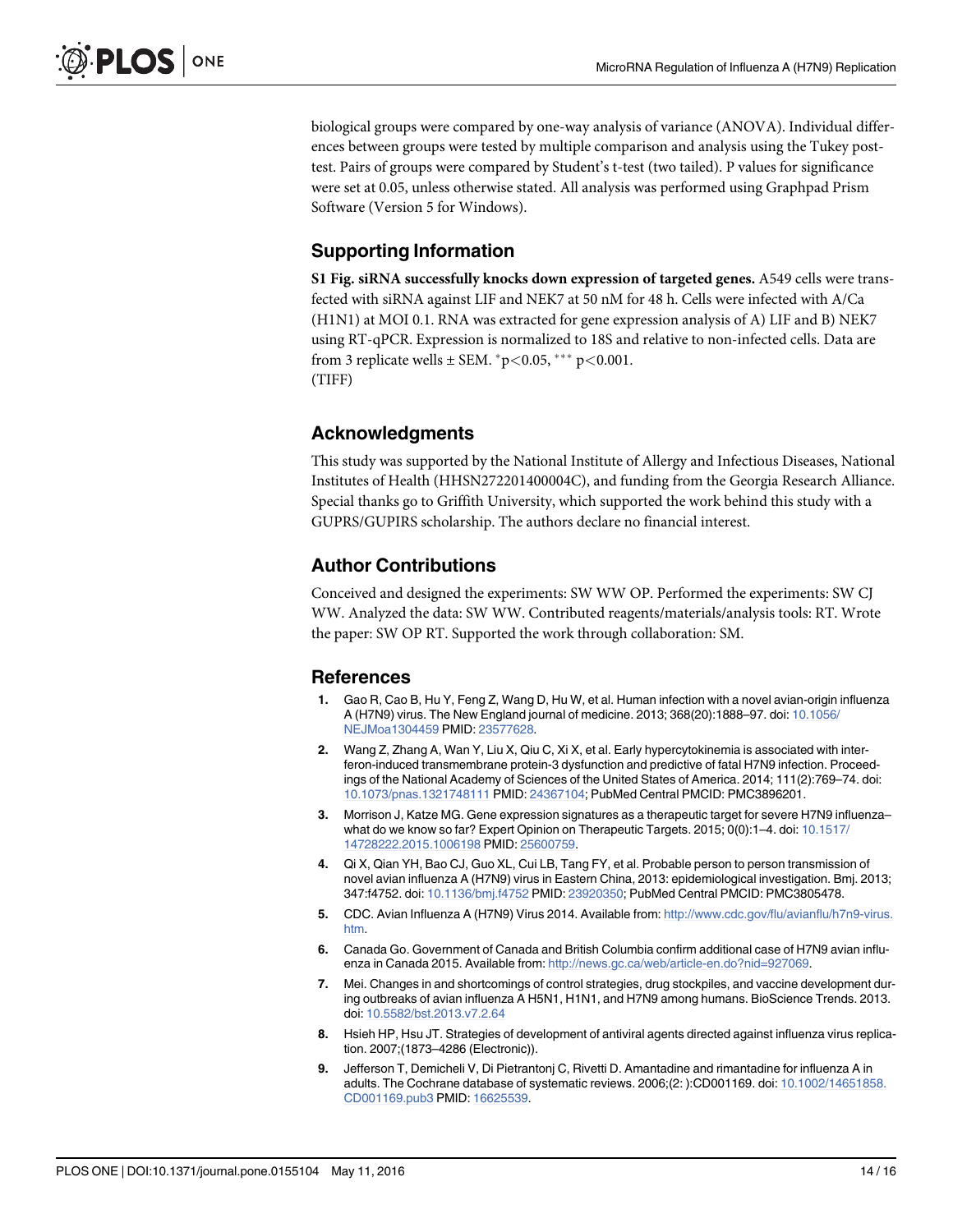biological groups were compared by one-way analysis of variance (ANOVA). Individual differences between groups were tested by multiple comparison and analysis using the Tukey posttest. Pairs of groups were compared by Student's t-test (two tailed). P values for significance were set at 0.05, unless otherwise stated. All analysis was performed using Graphpad Prism Software (Version 5 for Windows).

### Supporting Information

S1 Fig. siRNA successfully knocks down expression of targeted genes. A549 cells were transfected with siRNA against LIF and NEK7 at 50 nM for 48 h. Cells were infected with A/Ca (H1N1) at MOI 0.1. RNA was extracted for gene expression analysis of A) LIF and B) NEK7 using RT-qPCR. Expression is normalized to 18S and relative to non-infected cells. Data are from 3 replicate wells  $\pm$  SEM. \*p<0.05, \*\*\* p<0.001. (TIFF)

### Acknowledgments

This study was supported by the National Institute of Allergy and Infectious Diseases, National Institutes of Health (HHSN272201400004C), and funding from the Georgia Research Alliance. Special thanks go to Griffith University, which supported the work behind this study with a GUPRS/GUPIRS scholarship. The authors declare no financial interest.

### Author Contributions

Conceived and designed the experiments: SW WW OP. Performed the experiments: SW CJ WW. Analyzed the data: SW WW. Contributed reagents/materials/analysis tools: RT. Wrote the paper: SW OP RT. Supported the work through collaboration: SM.

### References

- 1. Gao R, Cao B, Hu Y, Feng Z, Wang D, Hu W, et al. Human infection with a novel avian-origin influenza A (H7N9) virus. The New England journal of medicine. 2013; 368(20):1888–97. doi: 10.1056/ NEJMoa1304459 PMID: 23577628.
- 2. Wang Z, Zhang A, Wan Y, Liu X, Qiu C, Xi X, et al. Early hypercytokinemia is associated with interferon-induced transmembrane protein-3 dysfunction and predictive of fatal H7N9 infection. Proceedings of the National Academy of Sciences of the United States of America. 2014; 111(2):769–74. doi: 10.1073/pnas.1321748111 PMID: 24367104; PubMed Central PMCID: PMC3896201.
- 3. Morrison J, Katze MG. Gene expression signatures as a therapeutic target for severe H7N9 influenza– what do we know so far? Expert Opinion on Therapeutic Targets. 2015; 0(0):1–4. doi: 10.1517/ 14728222.2015.1006198 PMID: 25600759.
- 4. Qi X, Qian YH, Bao CJ, Guo XL, Cui LB, Tang FY, et al. Probable person to person transmission of novel avian influenza A (H7N9) virus in Eastern China, 2013: epidemiological investigation. Bmj. 2013; 347:f4752. doi: 10.1136/bmj.f4752 PMID: 23920350; PubMed Central PMCID: PMC3805478.
- 5. CDC. Avian Influenza A (H7N9) Virus 2014. Available from: http://www.cdc.gov/flu/avianflu/h7n9-virus. htm.
- 6. Canada Go. Government of Canada and British Columbia confirm additional case of H7N9 avian influenza in Canada 2015. Available from: http://news.gc.ca/web/article-en.do?nid=927069.
- 7. Mei. Changes in and shortcomings of control strategies, drug stockpiles, and vaccine development during outbreaks of avian influenza A H5N1, H1N1, and H7N9 among humans. BioScience Trends. 2013. doi: 10.5582/bst.2013.v7.2.64
- 8. Hsieh HP, Hsu JT. Strategies of development of antiviral agents directed against influenza virus replication. 2007;(1873–4286 (Electronic)).
- 9. Jefferson T, Demicheli V, Di Pietrantonj C, Rivetti D. Amantadine and rimantadine for influenza A in adults. The Cochrane database of systematic reviews. 2006;(2: ):CD001169. doi: 10.1002/14651858. CD001169.pub3 PMID: 16625539.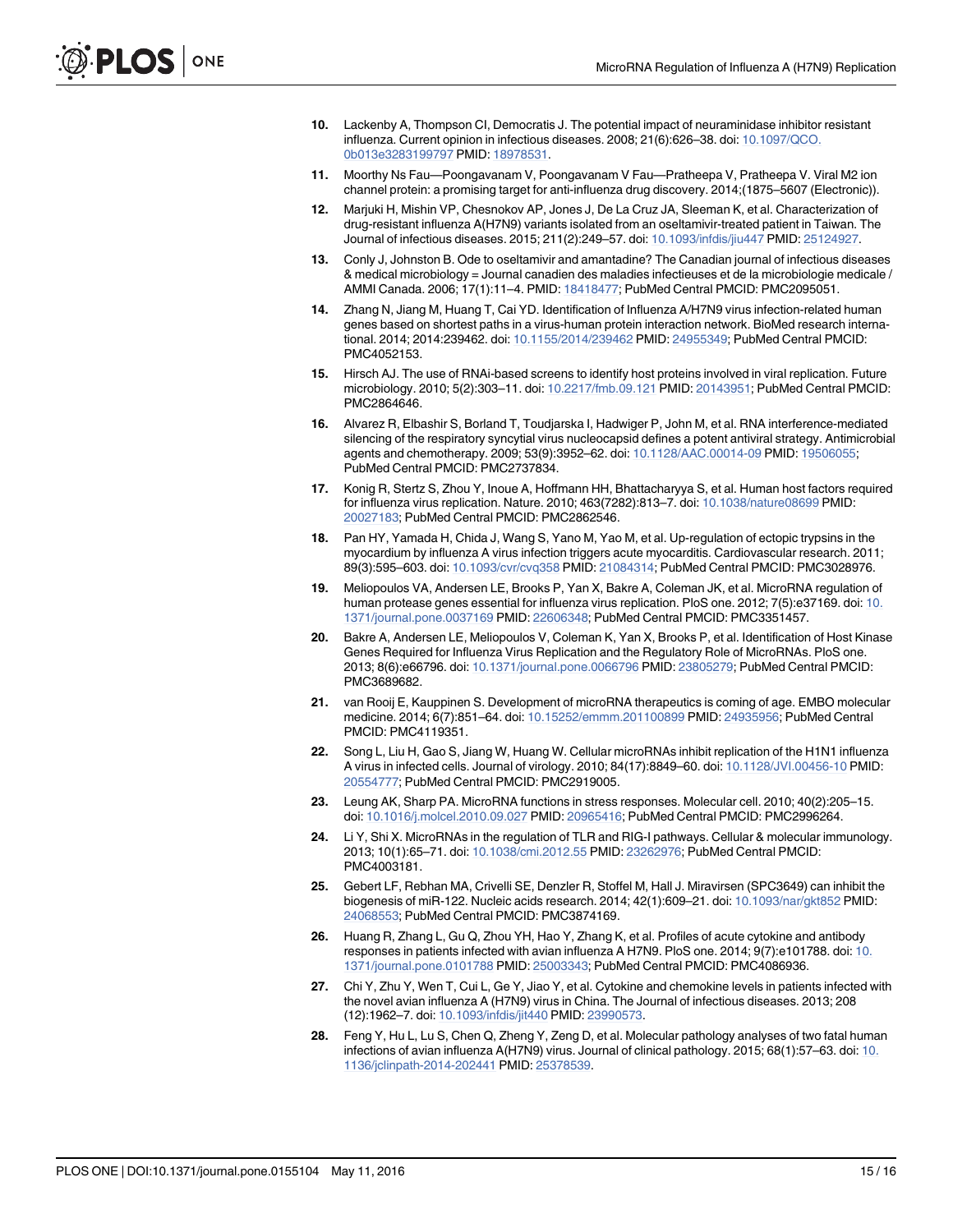- 10. Lackenby A, Thompson CI, Democratis J. The potential impact of neuraminidase inhibitor resistant influenza. Current opinion in infectious diseases. 2008; 21(6):626–38. doi: 10.1097/QCO. 0b013e3283199797 PMID: 18978531.
- 11. Moorthy Ns Fau—Poongavanam V, Poongavanam V Fau—Pratheepa V, Pratheepa V. Viral M2 ion channel protein: a promising target for anti-influenza drug discovery. 2014;(1875–5607 (Electronic)).
- 12. Marjuki H, Mishin VP, Chesnokov AP, Jones J, De La Cruz JA, Sleeman K, et al. Characterization of drug-resistant influenza A(H7N9) variants isolated from an oseltamivir-treated patient in Taiwan. The Journal of infectious diseases. 2015; 211(2):249–57. doi: 10.1093/infdis/jiu447 PMID: 25124927.
- 13. Conly J, Johnston B. Ode to oseltamivir and amantadine? The Canadian journal of infectious diseases & medical microbiology = Journal canadien des maladies infectieuses et de la microbiologie medicale / AMMI Canada. 2006; 17(1):11–4. PMID: 18418477; PubMed Central PMCID: PMC2095051.
- 14. Zhang N, Jiang M, Huang T, Cai YD. Identification of Influenza A/H7N9 virus infection-related human genes based on shortest paths in a virus-human protein interaction network. BioMed research international. 2014; 2014:239462. doi: 10.1155/2014/239462 PMID: 24955349; PubMed Central PMCID: PMC4052153.
- 15. Hirsch AJ. The use of RNAi-based screens to identify host proteins involved in viral replication. Future microbiology. 2010; 5(2):303–11. doi: 10.2217/fmb.09.121 PMID: 20143951; PubMed Central PMCID: PMC2864646.
- 16. Alvarez R, Elbashir S, Borland T, Toudjarska I, Hadwiger P, John M, et al. RNA interference-mediated silencing of the respiratory syncytial virus nucleocapsid defines a potent antiviral strategy. Antimicrobial agents and chemotherapy. 2009; 53(9):3952–62. doi: 10.1128/AAC.00014-09 PMID: 19506055; PubMed Central PMCID: PMC2737834.
- 17. Konig R, Stertz S, Zhou Y, Inoue A, Hoffmann HH, Bhattacharyya S, et al. Human host factors required for influenza virus replication. Nature. 2010; 463(7282):813–7. doi: 10.1038/nature08699 PMID: 20027183; PubMed Central PMCID: PMC2862546.
- 18. Pan HY, Yamada H, Chida J, Wang S, Yano M, Yao M, et al. Up-regulation of ectopic trypsins in the myocardium by influenza A virus infection triggers acute myocarditis. Cardiovascular research. 2011; 89(3):595–603. doi: 10.1093/cvr/cvq358 PMID: 21084314; PubMed Central PMCID: PMC3028976.
- 19. Meliopoulos VA, Andersen LE, Brooks P, Yan X, Bakre A, Coleman JK, et al. MicroRNA regulation of human protease genes essential for influenza virus replication. PloS one. 2012; 7(5):e37169. doi: 10. 1371/journal.pone.0037169 PMID: 22606348; PubMed Central PMCID: PMC3351457.
- 20. Bakre A, Andersen LE, Meliopoulos V, Coleman K, Yan X, Brooks P, et al. Identification of Host Kinase Genes Required for Influenza Virus Replication and the Regulatory Role of MicroRNAs. PloS one. 2013; 8(6):e66796. doi: 10.1371/journal.pone.0066796 PMID: 23805279; PubMed Central PMCID: PMC3689682.
- 21. van Rooij E, Kauppinen S. Development of microRNA therapeutics is coming of age. EMBO molecular medicine. 2014; 6(7):851–64. doi: 10.15252/emmm.201100899 PMID: 24935956; PubMed Central PMCID: PMC4119351.
- 22. Song L, Liu H, Gao S, Jiang W, Huang W. Cellular microRNAs inhibit replication of the H1N1 influenza A virus in infected cells. Journal of virology. 2010; 84(17):8849–60. doi: 10.1128/JVI.00456-10 PMID: 20554777; PubMed Central PMCID: PMC2919005.
- 23. Leung AK, Sharp PA. MicroRNA functions in stress responses. Molecular cell. 2010; 40(2):205–15. doi: 10.1016/j.molcel.2010.09.027 PMID: 20965416; PubMed Central PMCID: PMC2996264.
- 24. Li Y, Shi X. MicroRNAs in the regulation of TLR and RIG-I pathways. Cellular & molecular immunology. 2013; 10(1):65–71. doi: 10.1038/cmi.2012.55 PMID: 23262976; PubMed Central PMCID: PMC4003181.
- 25. Gebert LF, Rebhan MA, Crivelli SE, Denzler R, Stoffel M, Hall J. Miravirsen (SPC3649) can inhibit the biogenesis of miR-122. Nucleic acids research. 2014; 42(1):609–21. doi: 10.1093/nar/gkt852 PMID: 24068553; PubMed Central PMCID: PMC3874169.
- 26. Huang R, Zhang L, Gu Q, Zhou YH, Hao Y, Zhang K, et al. Profiles of acute cytokine and antibody responses in patients infected with avian influenza A H7N9. PloS one. 2014; 9(7):e101788. doi: 10. 1371/journal.pone.0101788 PMID: 25003343; PubMed Central PMCID: PMC4086936.
- 27. Chi Y, Zhu Y, Wen T, Cui L, Ge Y, Jiao Y, et al. Cytokine and chemokine levels in patients infected with the novel avian influenza A (H7N9) virus in China. The Journal of infectious diseases. 2013; 208 (12):1962–7. doi: 10.1093/infdis/jit440 PMID: 23990573.
- 28. Feng Y, Hu L, Lu S, Chen Q, Zheng Y, Zeng D, et al. Molecular pathology analyses of two fatal human infections of avian influenza A(H7N9) virus. Journal of clinical pathology. 2015; 68(1):57–63. doi: 10. 1136/jclinpath-2014-202441 PMID: 25378539.